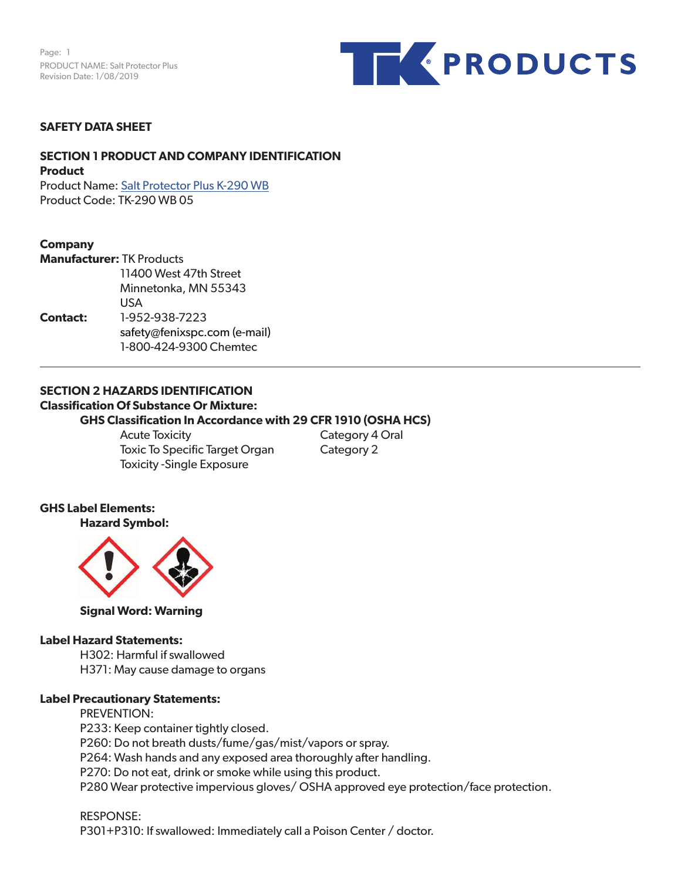Page: 1 PRODUCT NAME: Salt Protector Plus Revision Date: 1/08/2019



#### **SAFETY DATA SHEET**

#### **SECTION 1 PRODUCT AND COMPANY IDENTIFICATION Product**

Product Name: Salt Protector Plus K-290 WB Product Code: TK-290 WB 05

#### **Company**

|                 | <b>Manufacturer: TK Products</b> |  |  |  |
|-----------------|----------------------------------|--|--|--|
|                 | 11400 West 47th Street           |  |  |  |
|                 | Minnetonka, MN 55343             |  |  |  |
|                 | USA                              |  |  |  |
| <b>Contact:</b> | 1-952-938-7223                   |  |  |  |
|                 | safety@fenixspc.com (e-mail)     |  |  |  |
|                 | 1-800-424-9300 Chemtec           |  |  |  |

#### **SECTION 2 HAZARDS IDENTIFICATION Classification Of Substance Or Mixture: GHS Classification In Accordance with 29 CFR 1910 (OSHA HCS)**

Acute Toxicity **Category 4 Oral** Toxic To Specific Target Organ Category 2 Toxicity -Single Exposure

#### **GHS Label Elements: Hazard Symbol:**



**Signal Word: Warning**

#### **Label Hazard Statements:**

H302: Harmful if swallowed H371: May cause damage to organs

## **Label Precautionary Statements:**

PREVENTION: P233: Keep container tightly closed. P260: Do not breath dusts/fume/gas/mist/vapors or spray. P264: Wash hands and any exposed area thoroughly after handling. P270: Do not eat, drink or smoke while using this product. P280 Wear protective impervious gloves/ OSHA approved eye protection/face protection.

RESPONSE: P301+P310: If swallowed: Immediately call a Poison Center / doctor.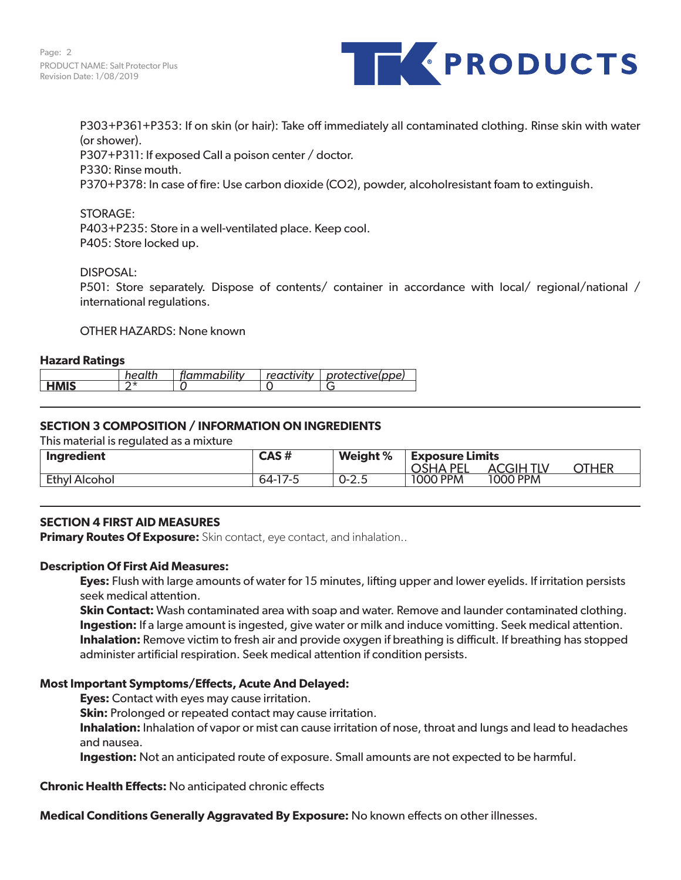

P303+P361+P353: If on skin (or hair): Take off immediately all contaminated clothing. Rinse skin with water (or shower). P307+P311: If exposed Call a poison center / doctor. P330: Rinse mouth. P370+P378: In case of fire: Use carbon dioxide (CO2), powder, alcoholresistant foam to extinguish.

# STORAGE:

P403+P235: Store in a well-ventilated place. Keep cool. P405: Store locked up.

DISPOSAL:

P501: Store separately. Dispose of contents/ container in accordance with local/ regional/national / international regulations.

OTHER HAZARDS: None known

# **Hazard Ratings**

|                                 | . | <br>ั⊸mmability … | <i>. .</i><br>2000 | Inne<br>$B = B + C + C$ |
|---------------------------------|---|-------------------|--------------------|-------------------------|
| <b>LIBAIC</b><br>$\blacksquare$ | . |                   |                    |                         |

# **SECTION 3 COMPOSITION / INFORMATION ON INGREDIENTS**

This material is regulated as a mixture

| Ingredient           | CAS#           | Weight %  | <b>Exposure Limits</b> |          |      |
|----------------------|----------------|-----------|------------------------|----------|------|
|                      |                |           | <b>PF</b><br>OSHA      | A        | THER |
| <b>Ethyl Alcohol</b> | $64-1$<br>/ -こ | $0 - 2.5$ | 1000 PPM               | 1000 PPM |      |

# **SECTION 4 FIRST AID MEASURES**

**Primary Routes Of Exposure:** Skin contact, eye contact, and inhalation..

#### **Description Of First Aid Measures:**

**Eyes:** Flush with large amounts of water for 15 minutes, lifting upper and lower eyelids. If irritation persists seek medical attention.

**Skin Contact:** Wash contaminated area with soap and water. Remove and launder contaminated clothing. **Ingestion:** If a large amount is ingested, give water or milk and induce vomitting. Seek medical attention. **Inhalation:** Remove victim to fresh air and provide oxygen if breathing is difficult. If breathing has stopped administer artificial respiration. Seek medical attention if condition persists.

#### **Most Important Symptoms/Effects, Acute And Delayed:**

**Eyes:** Contact with eyes may cause irritation.

**Skin:** Prolonged or repeated contact may cause irritation.

**Inhalation:** Inhalation of vapor or mist can cause irritation of nose, throat and lungs and lead to headaches and nausea.

**Ingestion:** Not an anticipated route of exposure. Small amounts are not expected to be harmful.

**Chronic Health Effects:** No anticipated chronic effects

**Medical Conditions Generally Aggravated By Exposure:** No known effects on other illnesses.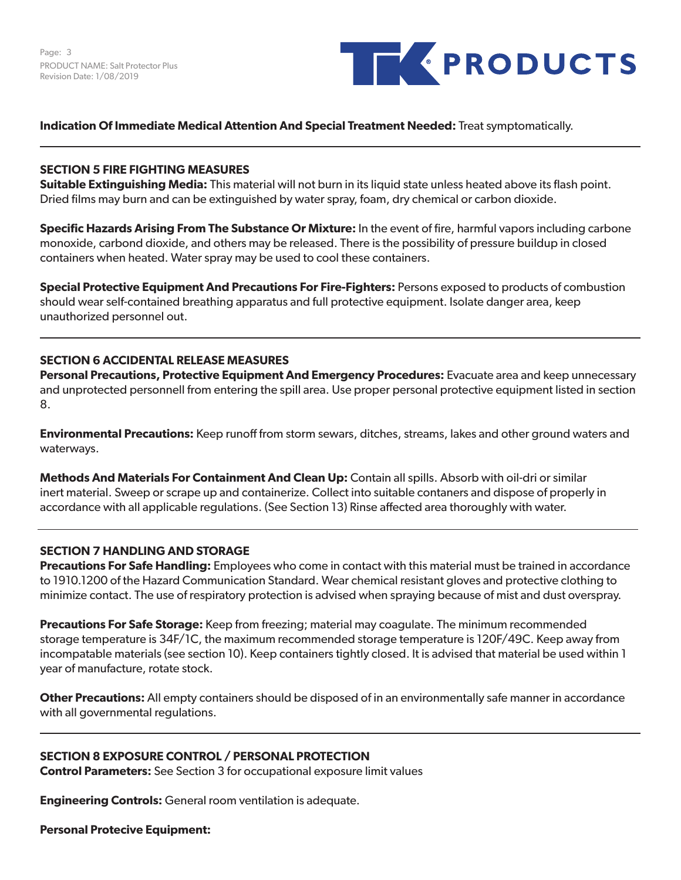Page: 3 PRODUCT NAME: Salt Protector Plus Revision Date: 1/08/2019



## **Indication Of Immediate Medical Attention And Special Treatment Needed:** Treat symptomatically.

#### **SECTION 5 FIRE FIGHTING MEASURES**

**Suitable Extinguishing Media:** This material will not burn in its liquid state unless heated above its flash point. Dried films may burn and can be extinguished by water spray, foam, dry chemical or carbon dioxide.

**Specific Hazards Arising From The Substance Or Mixture:** In the event of fire, harmful vapors including carbone monoxide, carbond dioxide, and others may be released. There is the possibility of pressure buildup in closed containers when heated. Water spray may be used to cool these containers.

**Special Protective Equipment And Precautions For Fire-Fighters:** Persons exposed to products of combustion should wear self-contained breathing apparatus and full protective equipment. Isolate danger area, keep unauthorized personnel out.

# **SECTION 6 ACCIDENTAL RELEASE MEASURES**

**Personal Precautions, Protective Equipment And Emergency Procedures:** Evacuate area and keep unnecessary and unprotected personnell from entering the spill area. Use proper personal protective equipment listed in section 8.

**Environmental Precautions:** Keep runoff from storm sewars, ditches, streams, lakes and other ground waters and waterways.

**Methods And Materials For Containment And Clean Up:** Contain all spills. Absorb with oil-dri or similar inert material. Sweep or scrape up and containerize. Collect into suitable contaners and dispose of properly in accordance with all applicable regulations. (See Section 13) Rinse affected area thoroughly with water.

#### **SECTION 7 HANDLING AND STORAGE**

**Precautions For Safe Handling:** Employees who come in contact with this material must be trained in accordance to 1910.1200 of the Hazard Communication Standard. Wear chemical resistant gloves and protective clothing to minimize contact. The use of respiratory protection is advised when spraying because of mist and dust overspray.

**Precautions For Safe Storage:** Keep from freezing; material may coagulate. The minimum recommended storage temperature is 34F/1C, the maximum recommended storage temperature is 120F/49C. Keep away from incompatable materials (see section 10). Keep containers tightly closed. It is advised that material be used within 1 year of manufacture, rotate stock.

**Other Precautions:** All empty containers should be disposed of in an environmentally safe manner in accordance with all governmental regulations.

#### **SECTION 8 EXPOSURE CONTROL / PERSONAL PROTECTION**

**Control Parameters:** See Section 3 for occupational exposure limit values

**Engineering Controls:** General room ventilation is adequate.

**Personal Protecive Equipment:**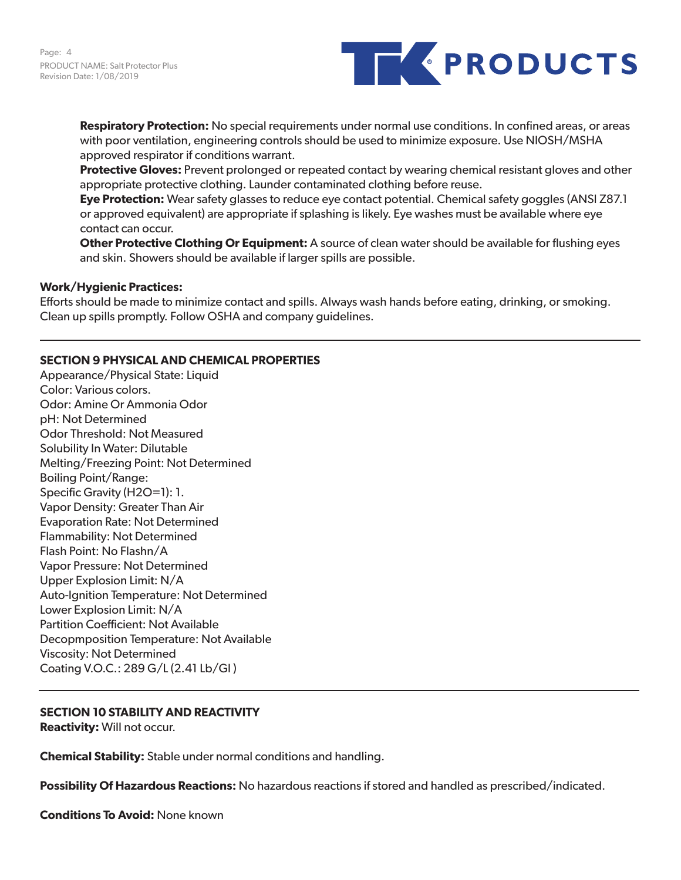

**Respiratory Protection:** No special requirements under normal use conditions. In confined areas, or areas with poor ventilation, engineering controls should be used to minimize exposure. Use NIOSH/MSHA approved respirator if conditions warrant.

**Protective Gloves:** Prevent prolonged or repeated contact by wearing chemical resistant gloves and other appropriate protective clothing. Launder contaminated clothing before reuse.

**Eye Protection:** Wear safety glasses to reduce eye contact potential. Chemical safety goggles (ANSI Z87.1 or approved equivalent) are appropriate if splashing is likely. Eye washes must be available where eye contact can occur.

**Other Protective Clothing Or Equipment:** A source of clean water should be available for flushing eyes and skin. Showers should be available if larger spills are possible.

#### **Work/Hygienic Practices:**

Efforts should be made to minimize contact and spills. Always wash hands before eating, drinking, or smoking. Clean up spills promptly. Follow OSHA and company guidelines.

# **SECTION 9 PHYSICAL AND CHEMICAL PROPERTIES**

Appearance/Physical State: Liquid Color: Various colors. Odor: Amine Or Ammonia Odor pH: Not Determined Odor Threshold: Not Measured Solubility In Water: Dilutable Melting/Freezing Point: Not Determined Boiling Point/Range: Specific Gravity (H2O=1): 1. Vapor Density: Greater Than Air Evaporation Rate: Not Determined Flammability: Not Determined Flash Point: No Flashn/A Vapor Pressure: Not Determined Upper Explosion Limit: N/A Auto-Ignition Temperature: Not Determined Lower Explosion Limit: N/A Partition Coefficient: Not Available Decopmposition Temperature: Not Available Viscosity: Not Determined Coating V.O.C.: 289 G/L (2.41 Lb/Gl )

# **SECTION 10 STABILITY AND REACTIVITY**

**Reactivity:** Will not occur.

**Chemical Stability:** Stable under normal conditions and handling.

**Possibility Of Hazardous Reactions:** No hazardous reactions if stored and handled as prescribed/indicated.

**Conditions To Avoid:** None known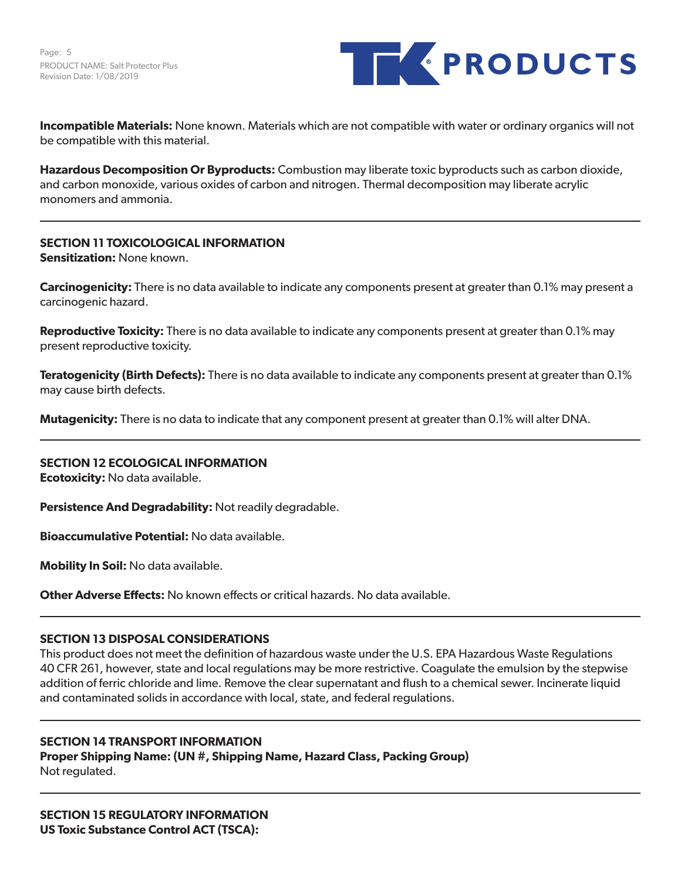Page: 5 PRODUCT NAME: Salt Protector Plus Revision Date: 1/08/2019



**Incompatible Materials:** None known. Materials which are not compatible with water or ordinary organics will not be compatible with this material.

**Hazardous Decomposition Or Byproducts:** Combustion may liberate toxic byproducts such as carbon dioxide, and carbon monoxide, various oxides of carbon and nitrogen. Thermal decomposition may liberate acrylic monomers and ammonia.

# **SECTION 11 TOXICOLOGICAL INFORMATION**

**Sensitization:** None known.

**Carcinogenicity:** There is no data available to indicate any components present at greater than 0.1% may present a carcinogenic hazard.

**Reproductive Toxicity:** There is no data available to indicate any components present at greater than 0.1% may present reproductive toxicity.

**Teratogenicity (Birth Defects):** There is no data available to indicate any components present at greater than 0.1% may cause birth defects.

**Mutagenicity:** There is no data to indicate that any component present at greater than 0.1% will alter DNA.

**SECTION 12 ECOLOGICAL INFORMATION Ecotoxicity:** No data available.

**Persistence And Degradability:** Not readily degradable.

**Bioaccumulative Potential:** No data available.

**Mobility In Soil:** No data available.

**Other Adverse Effects:** No known effects or critical hazards. No data available.

# **SECTION 13 DISPOSAL CONSIDERATIONS**

This product does not meet the definition of hazardous waste under the U.S. EPA Hazardous Waste Regulations 40 CFR 261, however, state and local regulations may be more restrictive. Coagulate the emulsion by the stepwise addition of ferric chloride and lime. Remove the clear supernatant and flush to a chemical sewer. Incinerate liquid and contaminated solids in accordance with local, state, and federal regulations.

#### **SECTION 14 TRANSPORT INFORMATION**

**Proper Shipping Name: (UN #, Shipping Name, Hazard Class, Packing Group)** Not regulated.